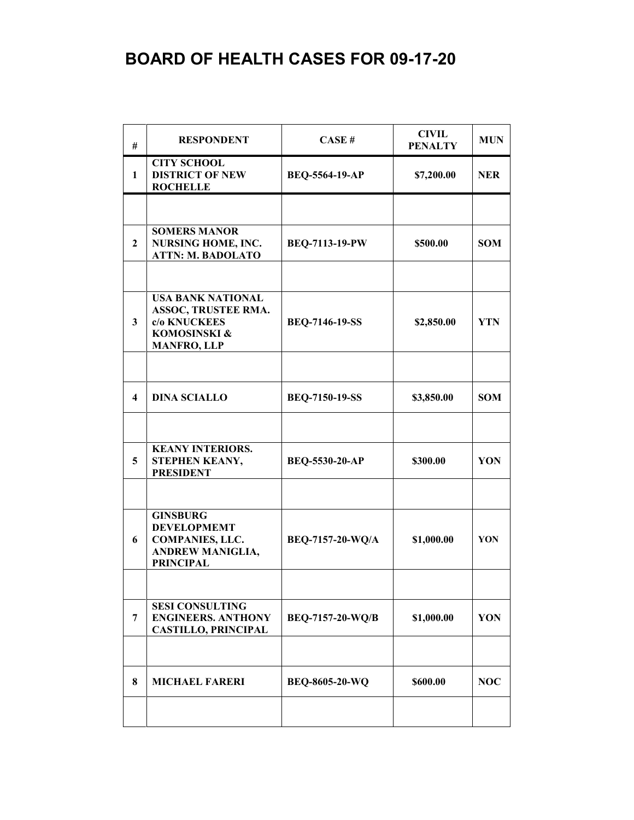## **BOARD OF HEALTH CASES FOR 09-17-20**

| #            | <b>RESPONDENT</b>                                                                                              | CASE#                   | <b>CIVIL</b><br><b>PENALTY</b> | <b>MUN</b> |
|--------------|----------------------------------------------------------------------------------------------------------------|-------------------------|--------------------------------|------------|
| 1            | <b>CITY SCHOOL</b><br><b>DISTRICT OF NEW</b><br><b>ROCHELLE</b>                                                | <b>BEQ-5564-19-AP</b>   | \$7,200.00                     | <b>NER</b> |
|              |                                                                                                                |                         |                                |            |
| $\mathbf{2}$ | <b>SOMERS MANOR</b><br><b>NURSING HOME, INC.</b><br><b>ATTN: M. BADOLATO</b>                                   | <b>BEQ-7113-19-PW</b>   | \$500.00                       | <b>SOM</b> |
|              |                                                                                                                |                         |                                |            |
| 3            | <b>USA BANK NATIONAL</b><br>ASSOC, TRUSTEE RMA.<br>c/o KNUCKEES<br>KOMOSINSKI &<br><b>MANFRO, LLP</b>          | <b>BEQ-7146-19-SS</b>   | \$2,850.00                     | <b>YTN</b> |
|              |                                                                                                                |                         |                                |            |
| 4            | <b>DINA SCIALLO</b>                                                                                            | <b>BEQ-7150-19-SS</b>   | \$3,850.00                     | <b>SOM</b> |
|              |                                                                                                                |                         |                                |            |
| 5            | <b>KEANY INTERIORS.</b><br>STEPHEN KEANY,<br><b>PRESIDENT</b>                                                  | BEQ-5530-20-AP          | \$300.00                       | YON        |
|              |                                                                                                                |                         |                                |            |
| 6            | <b>GINSBURG</b><br><b>DEVELOPMEMT</b><br><b>COMPANIES, LLC.</b><br><b>ANDREW MANIGLIA,</b><br><b>PRINCIPAL</b> | BEQ-7157-20-WQ/A        | \$1,000.00                     | YON        |
|              |                                                                                                                |                         |                                |            |
| 7            | <b>SESI CONSULTING</b><br><b>ENGINEERS. ANTHONY</b><br><b>CASTILLO, PRINCIPAL</b>                              | <b>BEQ-7157-20-WQ/B</b> | \$1,000.00                     | YON        |
|              |                                                                                                                |                         |                                |            |
| 8            | <b>MICHAEL FARERI</b>                                                                                          | <b>BEQ-8605-20-WQ</b>   | \$600.00                       | <b>NOC</b> |
|              |                                                                                                                |                         |                                |            |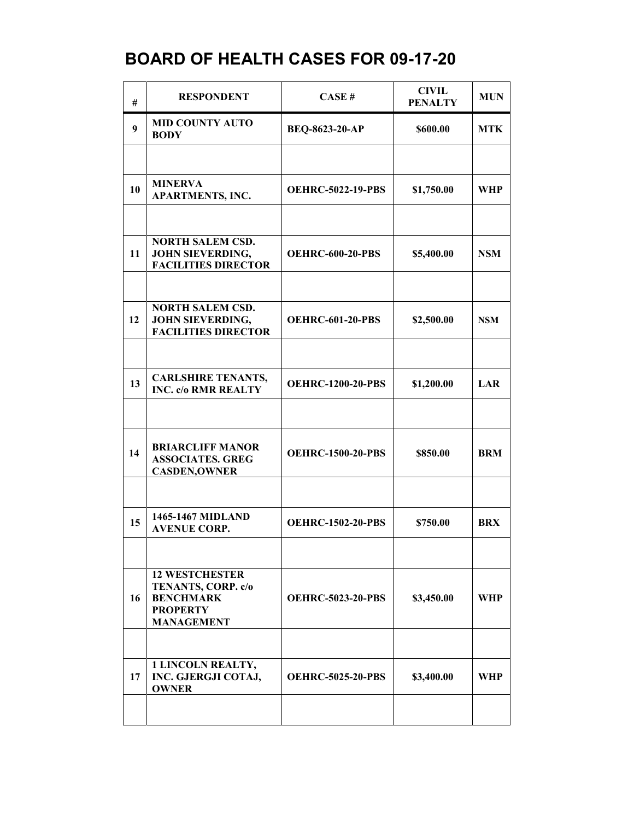## **BOARD OF HEALTH CASES FOR 09-17-20**

| #  | <b>RESPONDENT</b>                                                                                       | CASE#                    | <b>CIVIL</b><br><b>PENALTY</b> | <b>MUN</b> |
|----|---------------------------------------------------------------------------------------------------------|--------------------------|--------------------------------|------------|
| 9  | <b>MID COUNTY AUTO</b><br><b>BODY</b>                                                                   | <b>BEQ-8623-20-AP</b>    | \$600.00                       | <b>MTK</b> |
|    |                                                                                                         |                          |                                |            |
| 10 | <b>MINERVA</b><br><b>APARTMENTS, INC.</b>                                                               | <b>OEHRC-5022-19-PBS</b> | \$1,750.00                     | WHP        |
|    |                                                                                                         |                          |                                |            |
| 11 | <b>NORTH SALEM CSD.</b><br><b>JOHN SIEVERDING,</b><br><b>FACILITIES DIRECTOR</b>                        | <b>OEHRC-600-20-PBS</b>  | \$5,400.00                     | <b>NSM</b> |
|    |                                                                                                         |                          |                                |            |
| 12 | <b>NORTH SALEM CSD.</b><br><b>JOHN SIEVERDING,</b><br><b>FACILITIES DIRECTOR</b>                        | <b>OEHRC-601-20-PBS</b>  | \$2,500.00                     | <b>NSM</b> |
|    |                                                                                                         |                          |                                |            |
| 13 | <b>CARLSHIRE TENANTS,</b><br><b>INC. c/o RMR REALTY</b>                                                 | <b>OEHRC-1200-20-PBS</b> | \$1,200.00                     | LAR        |
|    |                                                                                                         |                          |                                |            |
| 14 | <b>BRIARCLIFF MANOR</b><br><b>ASSOCIATES. GREG</b><br><b>CASDEN, OWNER</b>                              | <b>OEHRC-1500-20-PBS</b> | \$850.00                       | <b>BRM</b> |
|    |                                                                                                         |                          |                                |            |
| 15 | 1465-1467 MIDLAND<br><b>AVENUE CORP.</b>                                                                | <b>OEHRC-1502-20-PBS</b> | \$750.00                       | <b>BRX</b> |
|    |                                                                                                         |                          |                                |            |
| 16 | <b>12 WESTCHESTER</b><br>TENANTS, CORP. c/o<br><b>BENCHMARK</b><br><b>PROPERTY</b><br><b>MANAGEMENT</b> | <b>OEHRC-5023-20-PBS</b> | \$3,450.00                     | WHP        |
|    |                                                                                                         |                          |                                |            |
| 17 | <b>1 LINCOLN REALTY,</b><br>INC. GJERGJI COTAJ,<br><b>OWNER</b>                                         | <b>OEHRC-5025-20-PBS</b> | \$3,400.00                     | WHP        |
|    |                                                                                                         |                          |                                |            |